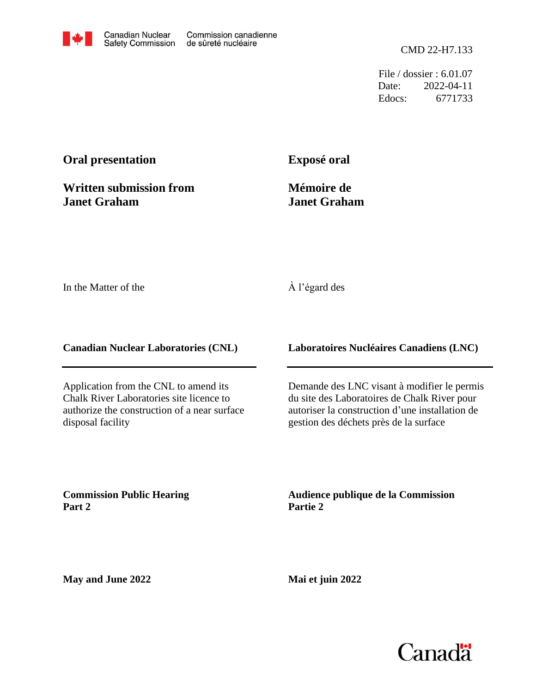File / dossier : 6.01.07 Date: 2022-04-11 Edocs: 6771733

# **Oral presentation**

**Written submission from Janet Graham**

**Exposé oral**

**Mémoire de Janet Graham**

In the Matter of the

#### À l'égard des

**Canadian Nuclear Laboratories (CNL)**

Application from the CNL to amend its Chalk River Laboratories site licence to authorize the construction of a near surface disposal facility

**Laboratoires Nucléaires Canadiens (LNC)**

Demande des LNC visant à modifier le permis du site des Laboratoires de Chalk River pour autoriser la construction d'une installation de gestion des déchets près de la surface

**Commission Public Hearing Part 2**

**Audience publique de la Commission Partie 2**

**May and June 2022**

**Mai et juin 2022**

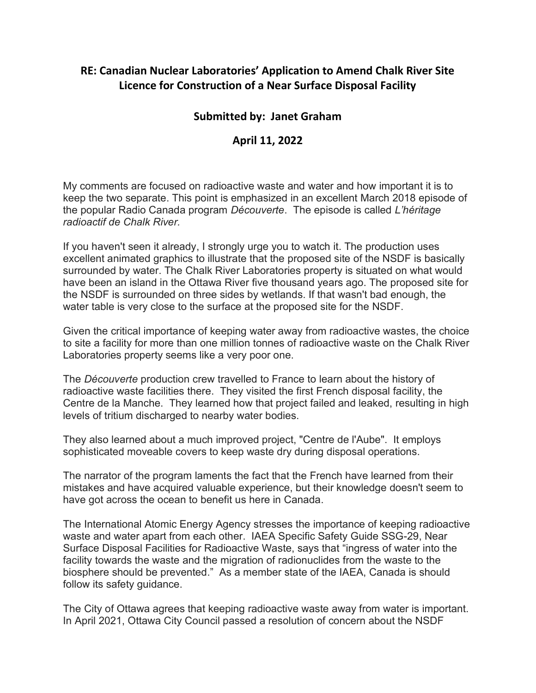# RE: Canadian Nuclear Laboratories' Application to Amend Chalk River Site Licence for Construction of a Near Surface Disposal Facility

### Submitted by: Janet Graham

#### April 11, 2022

My comments are focused on radioactive waste and water and how important it is to keep the two separate. This point is emphasized in an excellent March 2018 episode of the popular Radio Canada program Découverte. The episode is called L'héritage radioactif de Chalk River.

If you haven't seen it already, I strongly urge you to watch it. The production uses excellent animated graphics to illustrate that the proposed site of the NSDF is basically surrounded by water. The Chalk River Laboratories property is situated on what would have been an island in the Ottawa River five thousand years ago. The proposed site for the NSDF is surrounded on three sides by wetlands. If that wasn't bad enough, the water table is very close to the surface at the proposed site for the NSDF.

Given the critical importance of keeping water away from radioactive wastes, the choice to site a facility for more than one million tonnes of radioactive waste on the Chalk River Laboratories property seems like a very poor one.

The Découverte production crew travelled to France to learn about the history of radioactive waste facilities there. They visited the first French disposal facility, the Centre de la Manche. They learned how that project failed and leaked, resulting in high levels of tritium discharged to nearby water bodies.

They also learned about a much improved project, "Centre de l'Aube". It employs sophisticated moveable covers to keep waste dry during disposal operations.

The narrator of the program laments the fact that the French have learned from their mistakes and have acquired valuable experience, but their knowledge doesn't seem to have got across the ocean to benefit us here in Canada.

The International Atomic Energy Agency stresses the importance of keeping radioactive waste and water apart from each other. IAEA Specific Safety Guide SSG-29, Near Surface Disposal Facilities for Radioactive Waste, says that "ingress of water into the facility towards the waste and the migration of radionuclides from the waste to the biosphere should be prevented." As a member state of the IAEA, Canada is should follow its safety guidance.

The City of Ottawa agrees that keeping radioactive waste away from water is important. In April 2021, Ottawa City Council passed a resolution of concern about the NSDF